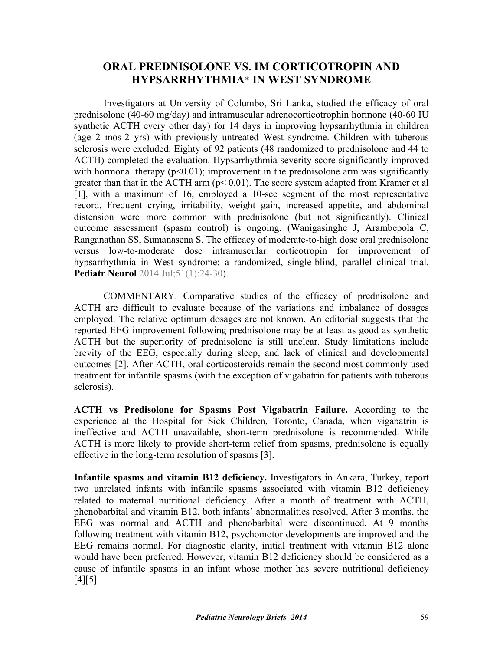# **ORAL PREDNISOLONE VS. IM CORTICOTROPIN AND HYPSARRHYTHMIA**\* **IN WEST SYNDROME**

Investigators at University of Columbo, Sri Lanka, studied the efficacy of oral prednisolone (40-60 mg/day) and intramuscular adrenocorticotrophin hormone (40-60 IU synthetic ACTH every other day) for 14 days in improving hypsarrhythmia in children (age 2 mos-2 yrs) with previously untreated West syndrome. Children with tuberous sclerosis were excluded. Eighty of 92 patients (48 randomized to prednisolone and 44 to ACTH) completed the evaluation. Hypsarrhythmia severity score significantly improved with hormonal therapy  $(p<0.01)$ ; improvement in the prednisolone arm was significantly greater than that in the ACTH arm  $(p< 0.01)$ . The score system adapted from Kramer et al [1], with a maximum of 16, employed a 10-sec segment of the most representative record. Frequent crying, irritability, weight gain, increased appetite, and abdominal distension were more common with prednisolone (but not significantly). Clinical outcome assessment (spasm control) is ongoing. (Wanigasinghe J, Arambepola C, [Ranganathan SS, Sumanasena S. The efficacy of moderate-to-high dose oral prednisolone](http://dx.doi.org/10.1016/j.pediatrneurol.2014.03.014) versus low-to-moderate dose intramuscular corticotropin for improvement of hypsarrhythmia in West syndrome: a randomized, single-blind, parallel clinical trial. **Pediatr Neurol** 2014 Jul;51(1):24-30).

 COMMENTARY. Comparative studies of the efficacy of prednisolone and ACTH are difficult to evaluate because of the variations and imbalance of dosages employed. The relative optimum dosages are not known. An editorial suggests that the reported EEG improvement following prednisolone may be at least as good as synthetic ACTH but the superiority of prednisolone is still unclear. Study limitations include brevity of the EEG, especially during sleep, and lack of clinical and developmental outcomes [2]. After ACTH, oral corticosteroids remain the second most commonly used treatment for infantile spasms (with the exception of vigabatrin for patients with tuberous sclerosis).

**ACTH vs Predisolone for Spasms Post Vigabatrin Failure.** According to the experience at the Hospital for Sick Children, Toronto, Canada, when vigabatrin is ineffective and ACTH unavailable, short-term prednisolone is recommended. While ACTH is more likely to provide short-term relief from spasms, prednisolone is equally effective in the long-term resolution of spasms [3].

**Infantile spasms and vitamin B12 deficiency.** Investigators in Ankara, Turkey, report two unrelated infants with infantile spasms associated with vitamin B12 deficiency related to maternal nutritional deficiency. After a month of treatment with ACTH, phenobarbital and vitamin B12, both infants' abnormalities resolved. After 3 months, the EEG was normal and ACTH and phenobarbital were discontinued. At 9 months following treatment with vitamin B12, psychomotor developments are improved and the EEG remains normal. For diagnostic clarity, initial treatment with vitamin B12 alone would have been preferred. However, vitamin B12 deficiency should be considered as a cause of infantile spasms in an infant whose mother has severe nutritional deficiency  $[4] [5]$ .